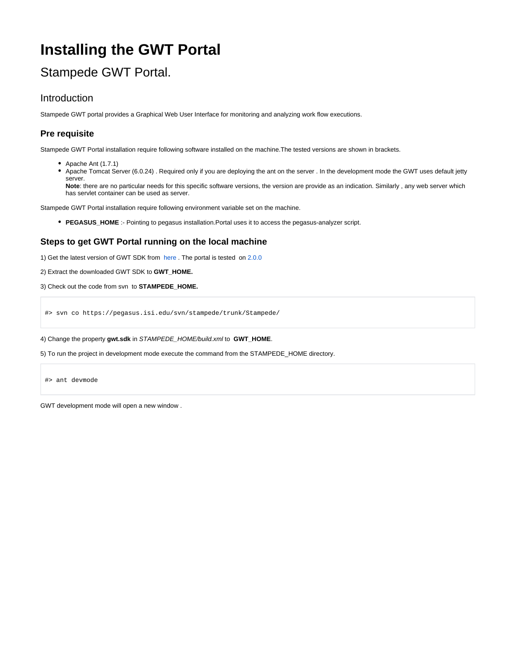# **Installing the GWT Portal**

# Stampede GWT Portal.

## Introduction

Stampede GWT portal provides a Graphical Web User Interface for monitoring and analyzing work flow executions.

## **Pre requisite**

Stampede GWT Portal installation require following software installed on the machine.The tested versions are shown in brackets.

- Apache Ant (1.7.1)
- Apache Tomcat Server (6.0.24) . Required only if you are deploying the ant on the server . In the development mode the GWT uses default jetty server.

**Note**: there are no particular needs for this specific software versions, the version are provide as an indication. Similarly , any web server which has servlet container can be used as server.

Stampede GWT Portal installation require following environment variable set on the machine.

**PEGASUS\_HOME** :- Pointing to pegasus installation.Portal uses it to access the pegasus-analyzer script.

#### **Steps to get GWT Portal running on the local machine**

1) Get the latest version of GWT SDK from [here](http://code.google.com/webtoolkit/versions.html) . The portal is tested on [2.0.0](http://google-web-toolkit.googlecode.com/files/gwt-2.0.0.zip)

- 2) Extract the downloaded GWT SDK to **GWT\_HOME.**
- 3) Check out the code from svn to **STAMPEDE\_HOME.**

#> svn co https://pegasus.isi.edu/svn/stampede/trunk/Stampede/

4) Change the property **gwt.sdk** in STAMPEDE\_HOME/build.xml to **GWT\_HOME**.

5) To run the project in development mode execute the command from the STAMPEDE\_HOME directory.

#> ant devmode

GWT development mode will open a new window .